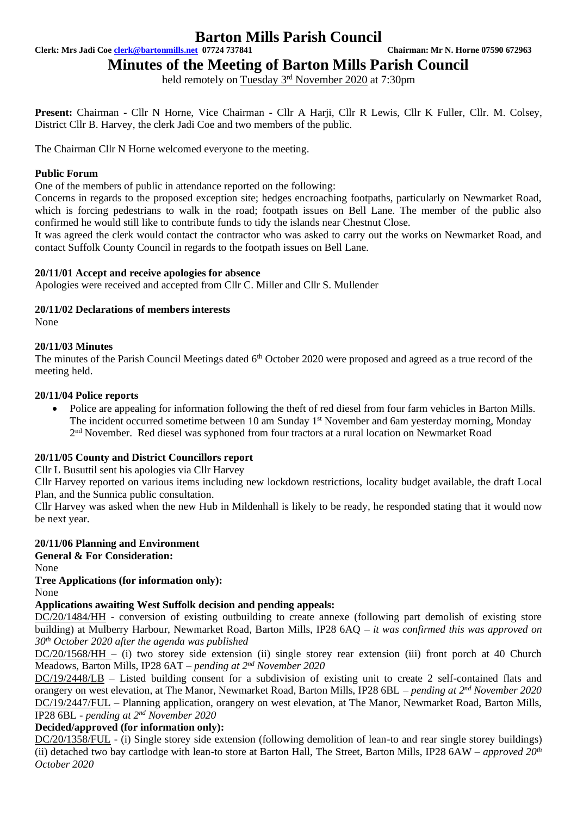## **Barton Mills Parish Council**

**Clerk: Mrs Jadi Coe [clerk@bartonmills.net](mailto:clerk@bartonmills.net) 07724 737841 Chairman: Mr N. Horne 07590 672963**

## **Minutes of the Meeting of Barton Mills Parish Council**

held remotely on Tuesday 3<sup>rd</sup> November 2020 at 7:30pm

**Present:** Chairman - Cllr N Horne, Vice Chairman - Cllr A Harji, Cllr R Lewis, Cllr K Fuller, Cllr. M. Colsey, District Cllr B. Harvey, the clerk Jadi Coe and two members of the public.

The Chairman Cllr N Horne welcomed everyone to the meeting.

#### **Public Forum**

One of the members of public in attendance reported on the following:

Concerns in regards to the proposed exception site; hedges encroaching footpaths, particularly on Newmarket Road, which is forcing pedestrians to walk in the road; footpath issues on Bell Lane. The member of the public also confirmed he would still like to contribute funds to tidy the islands near Chestnut Close.

It was agreed the clerk would contact the contractor who was asked to carry out the works on Newmarket Road, and contact Suffolk County Council in regards to the footpath issues on Bell Lane.

#### **20/11/01 Accept and receive apologies for absence**

Apologies were received and accepted from Cllr C. Miller and Cllr S. Mullender

#### **20/11/02 Declarations of members interests**

None

#### **20/11/03 Minutes**

The minutes of the Parish Council Meetings dated 6<sup>th</sup> October 2020 were proposed and agreed as a true record of the meeting held.

#### **20/11/04 Police reports**

• Police are appealing for information following the theft of red diesel from four farm vehicles in Barton Mills. The incident occurred sometime between 10 am Sunday 1<sup>st</sup> November and 6am yesterday morning, Monday 2<sup>nd</sup> November. Red diesel was syphoned from four tractors at a rural location on Newmarket Road

#### **20/11/05 County and District Councillors report**

Cllr L Busuttil sent his apologies via Cllr Harvey

Cllr Harvey reported on various items including new lockdown restrictions, locality budget available, the draft Local Plan, and the Sunnica public consultation.

Cllr Harvey was asked when the new Hub in Mildenhall is likely to be ready, he responded stating that it would now be next year.

#### **20/11/06 Planning and Environment**

**General & For Consideration:**

None

#### **Tree Applications (for information only):**

None

#### **Applications awaiting West Suffolk decision and pending appeals:**

DC/20/1484/HH - conversion of existing outbuilding to create annexe (following part demolish of existing store building) at Mulberry Harbour, Newmarket Road, Barton Mills, IP28 6AQ *– it was confirmed this was approved on 30th October 2020 after the agenda was published*

DC/20/1568/HH – (i) two storey side extension (ii) single storey rear extension (iii) front porch at 40 Church Meadows, Barton Mills, IP28 6AT – *pending at 2<sup>nd</sup> November 2020* 

DC/19/2448/LB – Listed building consent for a subdivision of existing unit to create 2 self-contained flats and orangery on west elevation, at The Manor, Newmarket Road, Barton Mills, IP28 6BL – *pending at 2<sup>nd</sup> November 2020* DC/19/2447/FUL – Planning application, orangery on west elevation, at The Manor, Newmarket Road, Barton Mills, IP28 6BL - *pending at 2 nd November 2020*

#### **Decided/approved (for information only):**

DC/20/1358/FUL - (i) Single storey side extension (following demolition of lean-to and rear single storey buildings) (ii) detached two bay cartlodge with lean-to store at Barton Hall, The Street, Barton Mills, IP28 6AW *– approved 20th October 2020*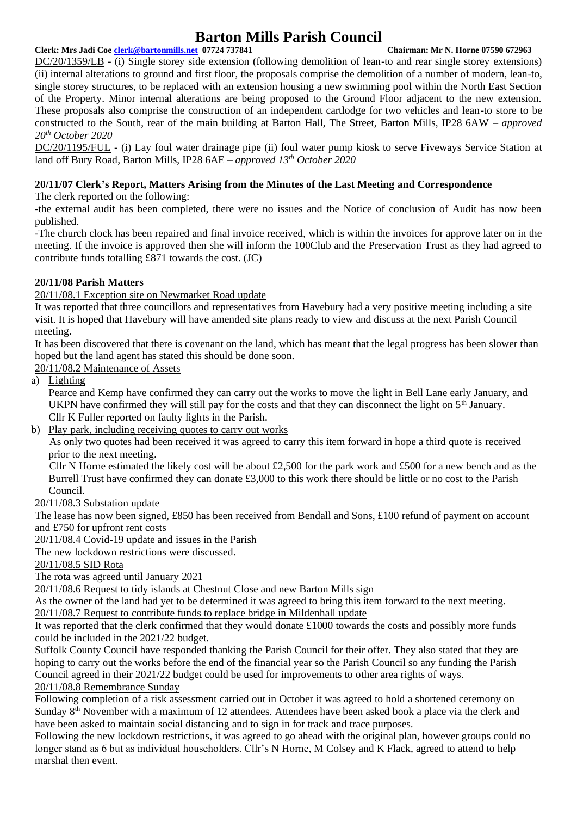# **Barton Mills Parish Council**

### **Clerk: Mrs Jadi Coe [clerk@bartonmills.net](mailto:clerk@bartonmills.net) 07724 737841 Chairman: Mr N. Horne 07590 672963**

DC/20/1359/LB - (i) Single storey side extension (following demolition of lean-to and rear single storey extensions) (ii) internal alterations to ground and first floor, the proposals comprise the demolition of a number of modern, lean-to, single storey structures, to be replaced with an extension housing a new swimming pool within the North East Section of the Property. Minor internal alterations are being proposed to the Ground Floor adjacent to the new extension. These proposals also comprise the construction of an independent cartlodge for two vehicles and lean-to store to be constructed to the South, rear of the main building at Barton Hall, The Street, Barton Mills, IP28 6AW *– approved 20th October 2020*

DC/20/1195/FUL - (i) Lay foul water drainage pipe (ii) foul water pump kiosk to serve Fiveways Service Station at land off Bury Road, Barton Mills, IP28 6AE – *approved 13th October 2020*

### **20/11/07 Clerk's Report, Matters Arising from the Minutes of the Last Meeting and Correspondence**

The clerk reported on the following:

-the external audit has been completed, there were no issues and the Notice of conclusion of Audit has now been published.

-The church clock has been repaired and final invoice received, which is within the invoices for approve later on in the meeting. If the invoice is approved then she will inform the 100Club and the Preservation Trust as they had agreed to contribute funds totalling £871 towards the cost. (JC)

#### **20/11/08 Parish Matters**

20/11/08.1 Exception site on Newmarket Road update

It was reported that three councillors and representatives from Havebury had a very positive meeting including a site visit. It is hoped that Havebury will have amended site plans ready to view and discuss at the next Parish Council meeting.

It has been discovered that there is covenant on the land, which has meant that the legal progress has been slower than hoped but the land agent has stated this should be done soon.

20/11/08.2 Maintenance of Assets

a) Lighting

Pearce and Kemp have confirmed they can carry out the works to move the light in Bell Lane early January, and UKPN have confirmed they will still pay for the costs and that they can disconnect the light on  $5<sup>th</sup>$  January. Cllr K Fuller reported on faulty lights in the Parish.

b) Play park, including receiving quotes to carry out works

As only two quotes had been received it was agreed to carry this item forward in hope a third quote is received prior to the next meeting.

Cllr N Horne estimated the likely cost will be about £2,500 for the park work and £500 for a new bench and as the Burrell Trust have confirmed they can donate £3,000 to this work there should be little or no cost to the Parish Council.

#### 20/11/08.3 Substation update

The lease has now been signed, £850 has been received from Bendall and Sons, £100 refund of payment on account and £750 for upfront rent costs

20/11/08.4 Covid-19 update and issues in the Parish

The new lockdown restrictions were discussed.

20/11/08.5 SID Rota

The rota was agreed until January 2021

20/11/08.6 Request to tidy islands at Chestnut Close and new Barton Mills sign

As the owner of the land had yet to be determined it was agreed to bring this item forward to the next meeting. 20/11/08.7 Request to contribute funds to replace bridge in Mildenhall update

It was reported that the clerk confirmed that they would donate £1000 towards the costs and possibly more funds

could be included in the 2021/22 budget. Suffolk County Council have responded thanking the Parish Council for their offer. They also stated that they are hoping to carry out the works before the end of the financial year so the Parish Council so any funding the Parish Council agreed in their 2021/22 budget could be used for improvements to other area rights of ways.

20/11/08.8 Remembrance Sunday

Following completion of a risk assessment carried out in October it was agreed to hold a shortened ceremony on Sunday 8th November with a maximum of 12 attendees. Attendees have been asked book a place via the clerk and have been asked to maintain social distancing and to sign in for track and trace purposes.

Following the new lockdown restrictions, it was agreed to go ahead with the original plan, however groups could no longer stand as 6 but as individual householders. Cllr's N Horne, M Colsey and K Flack, agreed to attend to help marshal then event.